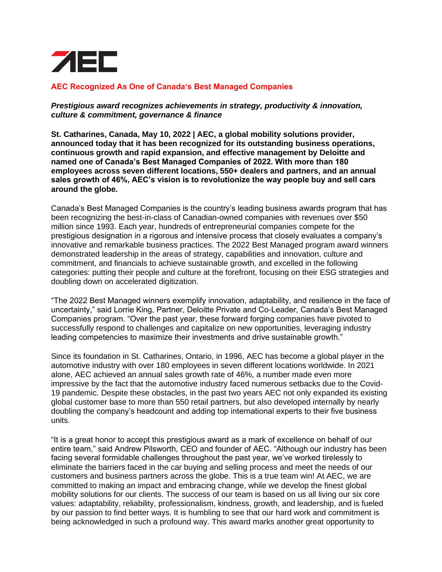

## **AEC Recognized As One of Canada's Best Managed Companies**

*Prestigious award recognizes achievements in strategy, productivity & innovation, culture & commitment, governance & finance*

**St. Catharines, Canada, May 10, 2022 | AEC, a global mobility solutions provider, announced today that it has been recognized for its outstanding business operations, continuous growth and rapid expansion, and effective management by Deloitte and named one of Canada's Best Managed Companies of 2022. With more than 180 employees across seven different locations, 550+ dealers and partners, and an annual sales growth of 46%, AEC's vision is to revolutionize the way people buy and sell cars around the globe.**

Canada's Best Managed Companies is the country's leading business awards program that has been recognizing the best-in-class of Canadian-owned companies with revenues over \$50 million since 1993. Each year, hundreds of entrepreneurial companies compete for the prestigious designation in a rigorous and intensive process that closely evaluates a company's innovative and remarkable business practices. The 2022 Best Managed program award winners demonstrated leadership in the areas of strategy, capabilities and innovation, culture and commitment, and financials to achieve sustainable growth, and excelled in the following categories: putting their people and culture at the forefront, focusing on their ESG strategies and doubling down on accelerated digitization.

"The 2022 Best Managed winners exemplify innovation, adaptability, and resilience in the face of uncertainty," said Lorrie King, Partner, Deloitte Private and Co-Leader, Canada's Best Managed Companies program. "Over the past year, these forward forging companies have pivoted to successfully respond to challenges and capitalize on new opportunities, leveraging industry leading competencies to maximize their investments and drive sustainable growth."

Since its foundation in St. Catharines, Ontario, in 1996, AEC has become a global player in the automotive industry with over 180 employees in seven different locations worldwide. In 2021 alone, AEC achieved an annual sales growth rate of 46%, a number made even more impressive by the fact that the automotive industry faced numerous setbacks due to the Covid-19 pandemic. Despite these obstacles, in the past two years AEC not only expanded its existing global customer base to more than 550 retail partners, but also developed internally by nearly doubling the company's headcount and adding top international experts to their five business units.

"It is a great honor to accept this prestigious award as a mark of excellence on behalf of our entire team," said Andrew Pilsworth, CEO and founder of AEC. "Although our industry has been facing several formidable challenges throughout the past year, we've worked tirelessly to eliminate the barriers faced in the car buying and selling process and meet the needs of our customers and business partners across the globe. This is a true team win! At AEC, we are committed to making an impact and embracing change, while we develop the finest global mobility solutions for our clients. The success of our team is based on us all living our six core values: adaptability, reliability, professionalism, kindness, growth, and leadership, and is fueled by our passion to find better ways. It is humbling to see that our hard work and commitment is being acknowledged in such a profound way. This award marks another great opportunity to